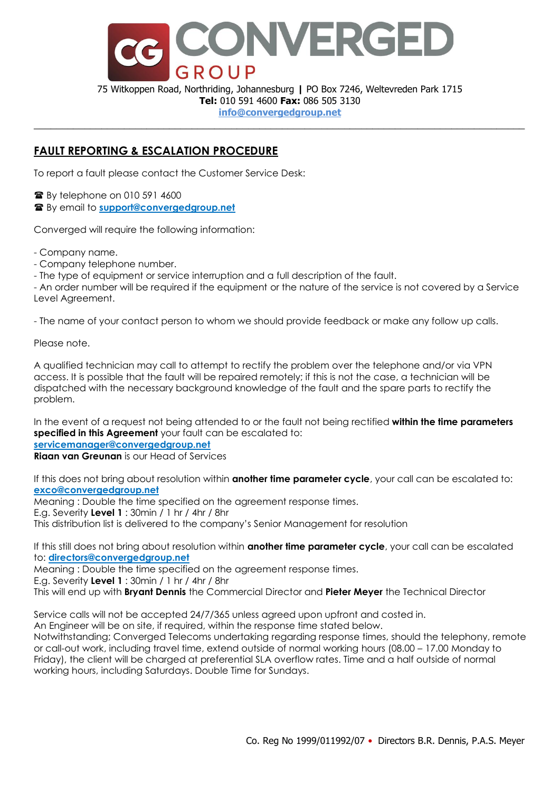

75 Witkoppen Road, Northriding, Johannesburg **|** PO Box 7246, Weltevreden Park 1715 **Tel:** 010 591 4600 **Fax:** 086 505 3130

#### **info@convergedgroup.net** \_\_\_\_\_\_\_\_\_\_\_\_\_\_\_\_\_\_\_\_\_\_\_\_\_\_\_\_\_\_\_\_\_\_\_\_\_\_\_\_\_\_\_\_\_\_\_\_\_\_\_\_\_\_\_\_\_\_\_\_\_\_\_\_\_\_\_\_\_\_\_\_\_\_\_\_\_\_\_\_\_\_\_\_\_\_\_

## **FAULT REPORTING & ESCALATION PROCEDURE**

To report a fault please contact the Customer Service Desk:

**■ By telephone on 010 591 4600** 

By email to **support@convergedgroup.net**

Converged will require the following information:

- Company name.

- Company telephone number.

- The type of equipment or service interruption and a full description of the fault.

- An order number will be required if the equipment or the nature of the service is not covered by a Service Level Agreement.

- The name of your contact person to whom we should provide feedback or make any follow up calls.

Please note.

A qualified technician may call to attempt to rectify the problem over the telephone and/or via VPN access. It is possible that the fault will be repaired remotely; if this is not the case, a technician will be dispatched with the necessary background knowledge of the fault and the spare parts to rectify the problem.

In the event of a request not being attended to or the fault not being rectified **within the time parameters specified in this Agreement** your fault can be escalated to:

**servicemanager@convergedgroup.net** 

**Riaan van Greunan** is our Head of Services

If this does not bring about resolution within **another time parameter cycle**, your call can be escalated to: **exco@convergedgroup.net**

Meaning : Double the time specified on the agreement response times.

E.g. Severity **Level 1** : 30min / 1 hr / 4hr / 8hr

This distribution list is delivered to the company's Senior Management for resolution

If this still does not bring about resolution within **another time parameter cycle**, your call can be escalated to: **directors@convergedgroup.net**

Meaning : Double the time specified on the agreement response times.

E.g. Severity **Level 1** : 30min / 1 hr / 4hr / 8hr

This will end up with **Bryant Dennis** the Commercial Director and **Pieter Meyer** the Technical Director

Service calls will not be accepted 24/7/365 unless agreed upon upfront and costed in.

An Engineer will be on site, if required, within the response time stated below.

Notwithstanding; Converged Telecoms undertaking regarding response times, should the telephony, remote or call-out work, including travel time, extend outside of normal working hours (08.00 – 17.00 Monday to Friday), the client will be charged at preferential SLA overflow rates. Time and a half outside of normal working hours, including Saturdays. Double Time for Sundays.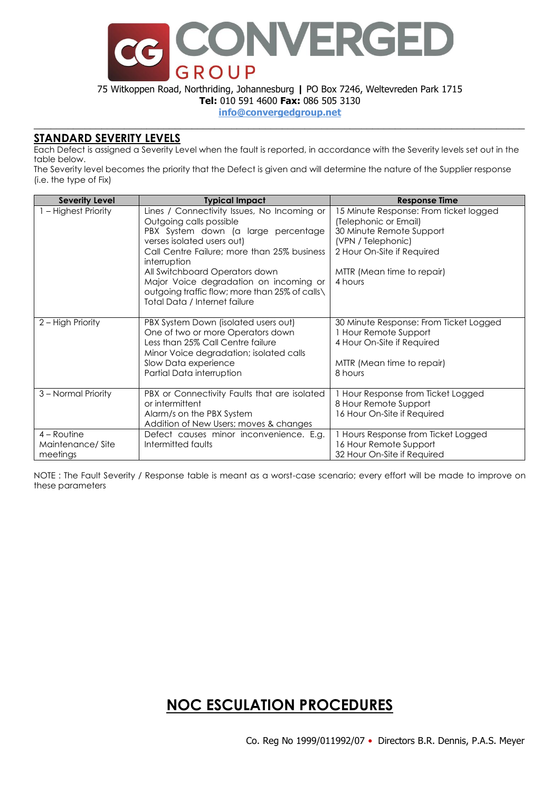

75 Witkoppen Road, Northriding, Johannesburg **|** PO Box 7246, Weltevreden Park 1715

**Tel:** 010 591 4600 **Fax:** 086 505 3130

**info@convergedgroup.net** \_\_\_\_\_\_\_\_\_\_\_\_\_\_\_\_\_\_\_\_\_\_\_\_\_\_\_\_\_\_\_\_\_\_\_\_\_\_\_\_\_\_\_\_\_\_\_\_\_\_\_\_\_\_\_\_\_\_\_\_\_\_\_\_\_\_\_\_\_\_\_\_\_\_\_\_\_\_\_\_\_\_\_\_\_\_\_

### **STANDARD SEVERITY LEVELS**

Each Defect is assigned a Severity Level when the fault is reported, in accordance with the Severity levels set out in the table below.

The Severity level becomes the priority that the Defect is given and will determine the nature of the Supplier response (i.e. the type of Fix)

| <b>Severity Level</b>                         | <b>Typical Impact</b>                                                                                                                                                                                                                                                                                                                                                     | <b>Response Time</b>                                                                                                                                                                     |
|-----------------------------------------------|---------------------------------------------------------------------------------------------------------------------------------------------------------------------------------------------------------------------------------------------------------------------------------------------------------------------------------------------------------------------------|------------------------------------------------------------------------------------------------------------------------------------------------------------------------------------------|
| 1 - Highest Priority                          | Lines / Connectivity Issues, No Incoming or<br>Outgoing calls possible<br>PBX System down (a large percentage<br>verses isolated users out)<br>Call Centre Failure: more than 25% business<br>interruption<br>All Switchboard Operators down<br>Major Voice degradation on incoming or<br>outgoing traffic flow; more than 25% of calls\<br>Total Data / Internet failure | 15 Minute Response: From ticket logged<br>(Telephonic or Email)<br>30 Minute Remote Support<br>(VPN / Telephonic)<br>2 Hour On-Site if Required<br>MTTR (Mean time to repair)<br>4 hours |
| 2 - High Priority                             | PBX System Down (isolated users out)<br>One of two or more Operators down<br>Less than 25% Call Centre failure<br>Minor Voice degradation; isolated calls<br>Slow Data experience<br>Partial Data interruption                                                                                                                                                            | 30 Minute Response: From Ticket Logged<br>1 Hour Remote Support<br>4 Hour On-Site if Required<br>MTTR (Mean time to repair)<br>8 hours                                                   |
| 3 – Normal Priority                           | PBX or Connectivity Faults that are isolated<br>or intermittent<br>Alarm/s on the PBX System<br>Addition of New Users; moves & changes                                                                                                                                                                                                                                    | 1 Hour Response from Ticket Logged<br>8 Hour Remote Support<br>16 Hour On-Site if Required                                                                                               |
| $4 -$ Routine<br>Maintenance/Site<br>meetings | Defect causes minor inconvenience. E.g.<br>Intermitted faults                                                                                                                                                                                                                                                                                                             | 1 Hours Response from Ticket Logged<br>16 Hour Remote Support<br>32 Hour On-Site if Required                                                                                             |

NOTE : The Fault Severity / Response table is meant as a worst-case scenario; every effort will be made to improve on these parameters

# **NOC ESCULATION PROCEDURES**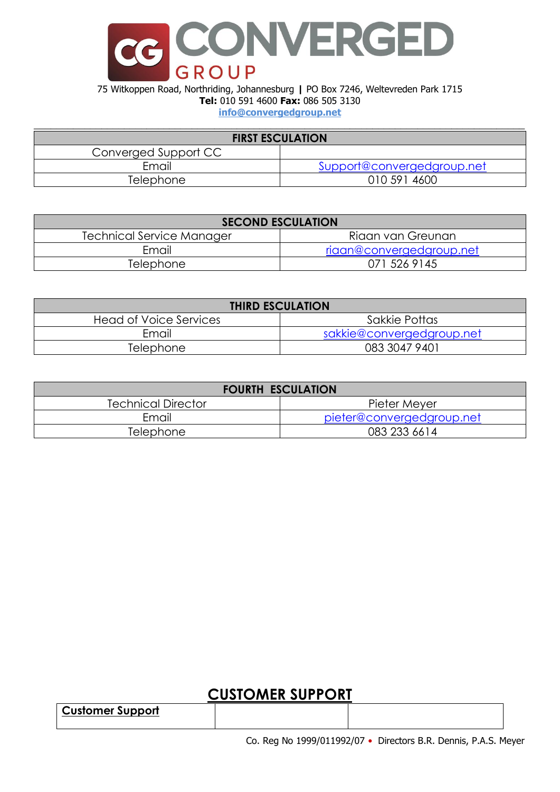

#### 75 Witkoppen Road, Northriding, Johannesburg **|** PO Box 7246, Weltevreden Park 1715 **Tel:** 010 591 4600 **Fax:** 086 505 3130 **info@convergedgroup.net**

| <b>FIRST ESCULATION</b> |                            |  |  |
|-------------------------|----------------------------|--|--|
| Converged Support CC    |                            |  |  |
| Email                   | Support@convergedgroup.net |  |  |
| Telephone               | 010 591 4600               |  |  |

| <b>SECOND ESCULATION</b>  |                          |  |
|---------------------------|--------------------------|--|
| Technical Service Manager | Riaan van Greunan        |  |
| Email                     | riaan@convergedgroup.net |  |
| <b>Telephone</b>          | 071 526 9145             |  |

| <b>THIRD ESCULATION</b>       |                           |  |
|-------------------------------|---------------------------|--|
| <b>Head of Voice Services</b> | Sakkie Pottas             |  |
| Email                         | sakkie@convergedgroup.net |  |
| Telephone                     | 083 3047 9401             |  |

| <b>FOURTH ESCULATION</b>  |                           |  |
|---------------------------|---------------------------|--|
| <b>Technical Director</b> | Pieter Meyer              |  |
| Email                     | pieter@convergedgroup.net |  |
| Telephone                 | 083 233 6614              |  |

# **CUSTOMER SUPPORT**

**Customer Support**